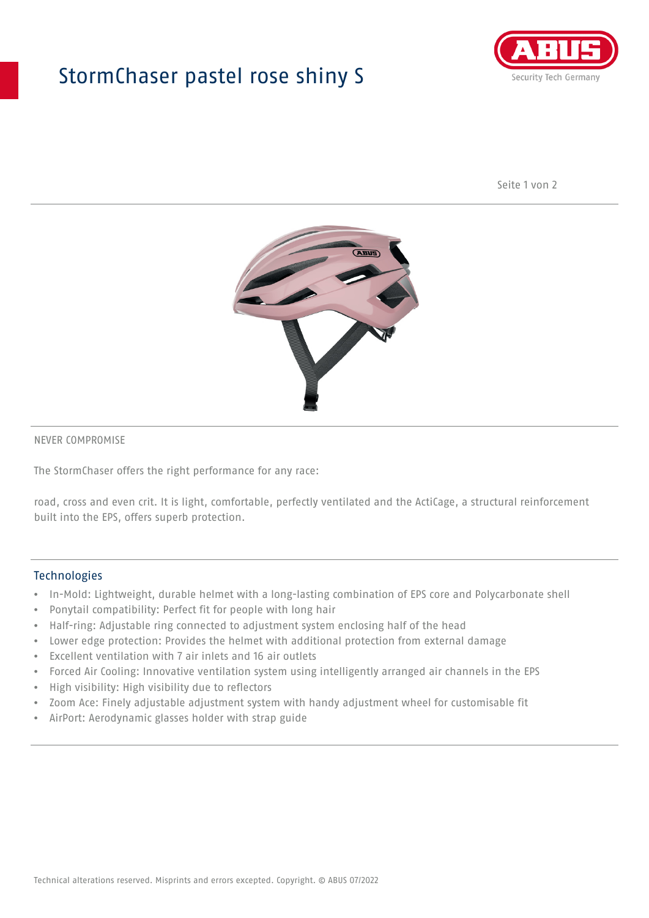## StormChaser pastel rose shiny S



Seite 1 von 2



#### NEVER COMPROMISE

The StormChaser offers the right performance for any race:

road, cross and even crit. It is light, comfortable, perfectly ventilated and the ActiCage, a structural reinforcement built into the EPS, offers superb protection.

#### **Technologies**

- In-Mold: Lightweight, durable helmet with a long-lasting combination of EPS core and Polycarbonate shell
- Ponytail compatibility: Perfect fit for people with long hair
- Half-ring: Adjustable ring connected to adjustment system enclosing half of the head
- Lower edge protection: Provides the helmet with additional protection from external damage
- Excellent ventilation with 7 air inlets and 16 air outlets
- Forced Air Cooling: Innovative ventilation system using intelligently arranged air channels in the EPS
- High visibility: High visibility due to reflectors
- Zoom Ace: Finely adjustable adjustment system with handy adjustment wheel for customisable fit
- AirPort: Aerodynamic glasses holder with strap guide